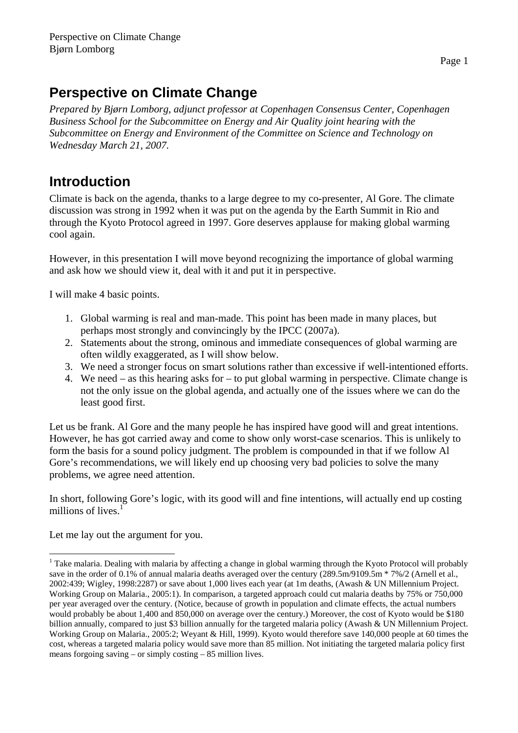# **Perspective on Climate Change**

*Prepared by Bjørn Lomborg, adjunct professor at Copenhagen Consensus Center, Copenhagen Business School for the Subcommittee on Energy and Air Quality joint hearing with the Subcommittee on Energy and Environment of the Committee on Science and Technology on Wednesday March 21, 2007.* 

# **Introduction**

Climate is back on the agenda, thanks to a large degree to my co-presenter, Al Gore. The climate discussion was strong in 1992 when it was put on the agenda by the Earth Summit in Rio and through the Kyoto Protocol agreed in 1997. Gore deserves applause for making global warming cool again.

However, in this presentation I will move beyond recognizing the importance of global warming and ask how we should view it, deal with it and put it in perspective.

I will make 4 basic points.

- 1. Global warming is real and man-made. This point has been made in many places, but perhaps most strongly and convincingly by the IPCC (2007a).
- 2. Statements about the strong, ominous and immediate consequences of global warming are often wildly exaggerated, as I will show below.
- 3. We need a stronger focus on smart solutions rather than excessive if well-intentioned efforts.
- 4. We need as this hearing asks for to put global warming in perspective. Climate change is not the only issue on the global agenda, and actually one of the issues where we can do the least good first.

Let us be frank. Al Gore and the many people he has inspired have good will and great intentions. However, he has got carried away and come to show only worst-case scenarios. This is unlikely to form the basis for a sound policy judgment. The problem is compounded in that if we follow Al Gore's recommendations, we will likely end up choosing very bad policies to solve the many problems, we agree need attention.

In short, following Gore's logic, with its good will and fine intentions, will actually end up costing millions of lives. $<sup>1</sup>$ </sup>

Let me lay out the argument for you.

 $\overline{a}$ <sup>1</sup> Take malaria. Dealing with malaria by affecting a change in global warming through the Kyoto Protocol will probably save in the order of 0.1% of annual malaria deaths averaged over the century (289.5m/9109.5m  $*$  7%/2 (Arnell et al., 2002:439; Wigley, 1998:2287) or save about 1,000 lives each year (at 1m deaths, (Awash & UN Millennium Project. Working Group on Malaria., 2005:1). In comparison, a targeted approach could cut malaria deaths by 75% or 750,000 per year averaged over the century. (Notice, because of growth in population and climate effects, the actual numbers would probably be about 1,400 and 850,000 on average over the century.) Moreover, the cost of Kyoto would be \$180 billion annually, compared to just \$3 billion annually for the targeted malaria policy (Awash & UN Millennium Project. Working Group on Malaria., 2005:2; Weyant & Hill, 1999). Kyoto would therefore save 140,000 people at 60 times the cost, whereas a targeted malaria policy would save more than 85 million. Not initiating the targeted malaria policy first means forgoing saving – or simply costing – 85 million lives.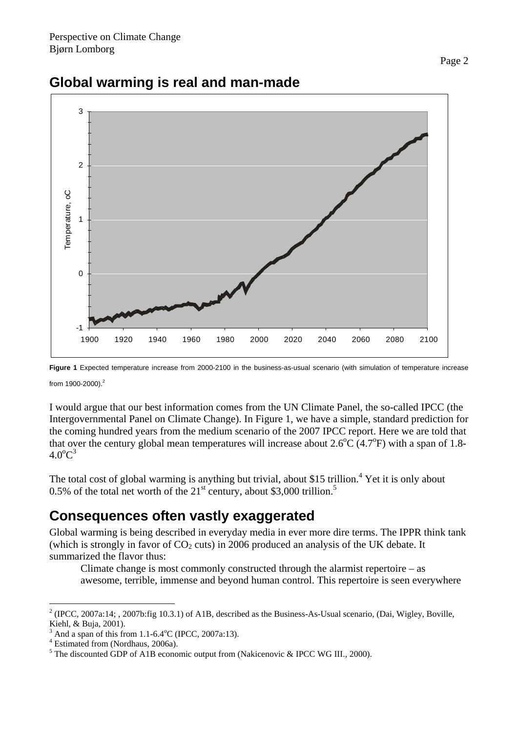

## **Global warming is real and man-made**

**Figure 1** Expected temperature increase from 2000-2100 in the business-as-usual scenario (with simulation of temperature increase

from 1900-2000).<sup>2</sup>

I would argue that our best information comes from the UN Climate Panel, the so-called IPCC (the Intergovernmental Panel on Climate Change). In Figure 1, we have a simple, standard prediction for the coming hundred years from the medium scenario of the 2007 IPCC report. Here we are told that that over the century global mean temperatures will increase about  $2.6^{\circ}C$  (4.7°F) with a span of 1.8- $4.0^{\circ}C^3$ 

The total cost of global warming is anything but trivial, about \$15 trillion.<sup>4</sup> Yet it is only about 0.5% of the total net worth of the  $21<sup>st</sup>$  century, about \$3,000 trillion.<sup>5</sup>

### **Consequences often vastly exaggerated**

Global warming is being described in everyday media in ever more dire terms. The IPPR think tank (which is strongly in favor of  $CO<sub>2</sub>$  cuts) in 2006 produced an analysis of the UK debate. It summarized the flavor thus:

Climate change is most commonly constructed through the alarmist repertoire – as awesome, terrible, immense and beyond human control. This repertoire is seen everywhere

 $\overline{a}$  $2^2$  (IPCC, 2007a:14; , 2007b:fig 10.3.1) of A1B, described as the Business-As-Usual scenario, (Dai, Wigley, Boville, Kiehl, & Buja, 2001).

<sup>3</sup>  $^3$  And a span of this from 1.1-6.4 $^{\circ}$ C (IPCC, 2007a:13).

Estimated from (Nordhaus, 2006a).

 $<sup>5</sup>$  The discounted GDP of A1B economic output from (Nakicenovic & IPCC WG III., 2000).</sup>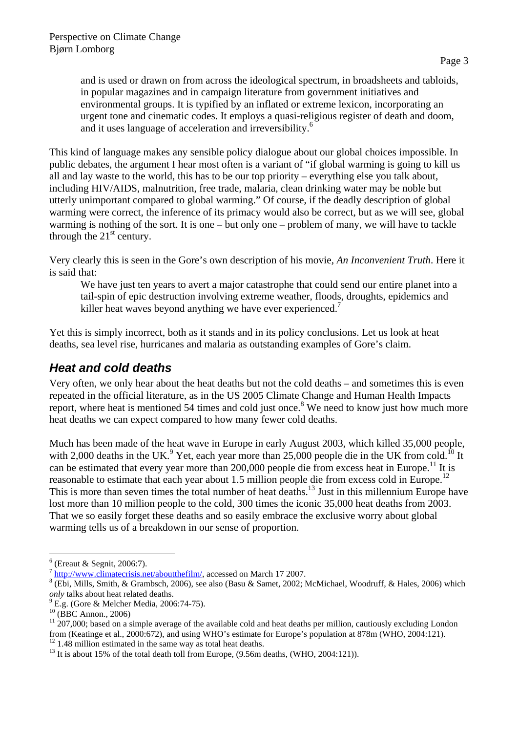and is used or drawn on from across the ideological spectrum, in broadsheets and tabloids, in popular magazines and in campaign literature from government initiatives and environmental groups. It is typified by an inflated or extreme lexicon, incorporating an urgent tone and cinematic codes. It employs a quasi-religious register of death and doom, and it uses language of acceleration and irreversibility.<sup>6</sup>

This kind of language makes any sensible policy dialogue about our global choices impossible. In public debates, the argument I hear most often is a variant of "if global warming is going to kill us all and lay waste to the world, this has to be our top priority – everything else you talk about, including HIV/AIDS, malnutrition, free trade, malaria, clean drinking water may be noble but utterly unimportant compared to global warming." Of course, if the deadly description of global warming were correct, the inference of its primacy would also be correct, but as we will see, global warming is nothing of the sort. It is one – but only one – problem of many, we will have to tackle through the  $21<sup>st</sup>$  century.

Very clearly this is seen in the Gore's own description of his movie, *An Inconvenient Truth*. Here it is said that:

We have just ten years to avert a major catastrophe that could send our entire planet into a tail-spin of epic destruction involving extreme weather, floods, droughts, epidemics and killer heat waves beyond anything we have ever experienced.<sup>7</sup>

Yet this is simply incorrect, both as it stands and in its policy conclusions. Let us look at heat deaths, sea level rise, hurricanes and malaria as outstanding examples of Gore's claim.

### *Heat and cold deaths*

Very often, we only hear about the heat deaths but not the cold deaths – and sometimes this is even repeated in the official literature, as in the US 2005 Climate Change and Human Health Impacts report, where heat is mentioned 54 times and cold just once.<sup>8</sup> We need to know just how much more heat deaths we can expect compared to how many fewer cold deaths.

Much has been made of the heat wave in Europe in early August 2003, which killed 35,000 people, with 2,000 deaths in the UK.<sup>9</sup> Yet, each year more than 25,000 people die in the UK from cold.<sup>10</sup> It can be estimated that every year more than 200,000 people die from excess heat in Europe.<sup>11</sup> It is reasonable to estimate that each year about 1.5 million people die from excess cold in Europe.<sup>12</sup> This is more than seven times the total number of heat deaths.<sup>13</sup> Just in this millennium Europe have lost more than 10 million people to the cold, 300 times the iconic 35,000 heat deaths from 2003. That we so easily forget these deaths and so easily embrace the exclusive worry about global warming tells us of a breakdown in our sense of proportion.

 $\overline{a}$  $<sup>6</sup>$  (Ereaut & Segnit, 2006:7).</sup>

 $^7$  http://www.climatecrisis.net/aboutthefilm/, accessed on March 17 2007.

<sup>&</sup>lt;sup>8</sup> (Ebi, Mills, Smith, & Grambsch, 2006), see also (Basu & Samet, 2002; McMichael, Woodruff, & Hales, 2006) which *only* talks about heat related deaths.

 $\frac{9}{2}$  E.g. (Gore & Melcher Media, 2006:74-75).

 $^{10}$  (BBC Annon., 2006)

 $11\overline{207,000}$ ; based on a simple average of the available cold and heat deaths per million, cautiously excluding London from (Keatinge et al., 2000:672), and using WHO's estimate for Europe's population at 878m (WHO, 2004:121).  $12$  1.48 million estimated in the same way as total heat deaths.

 $13$  It is about 15% of the total death toll from Europe, (9.56m deaths, (WHO, 2004:121)).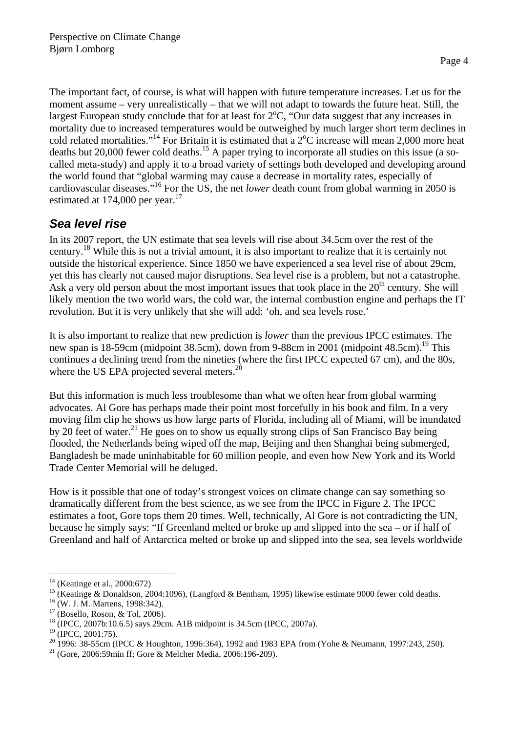The important fact, of course, is what will happen with future temperature increases. Let us for the moment assume – very unrealistically – that we will not adapt to towards the future heat. Still, the largest European study conclude that for at least for  $2^{\circ}C$ , "Our data suggest that any increases in mortality due to increased temperatures would be outweighed by much larger short term declines in cold related mortalities."<sup>14</sup> For Britain it is estimated that a  $2^{\circ}$ C increase will mean 2,000 more heat deaths but 20,000 fewer cold deaths.<sup>15</sup> A paper trying to incorporate all studies on this issue (a socalled meta-study) and apply it to a broad variety of settings both developed and developing around the world found that "global warming may cause a decrease in mortality rates, especially of cardiovascular diseases."16 For the US, the net *lower* death count from global warming in 2050 is estimated at  $174,000$  per year.<sup>17</sup>

### *Sea level rise*

In its 2007 report, the UN estimate that sea levels will rise about 34.5cm over the rest of the century.18 While this is not a trivial amount, it is also important to realize that it is certainly not outside the historical experience. Since 1850 we have experienced a sea level rise of about 29cm, yet this has clearly not caused major disruptions. Sea level rise is a problem, but not a catastrophe. Ask a very old person about the most important issues that took place in the  $20<sup>th</sup>$  century. She will likely mention the two world wars, the cold war, the internal combustion engine and perhaps the IT revolution. But it is very unlikely that she will add: 'oh, and sea levels rose.'

It is also important to realize that new prediction is *lower* than the previous IPCC estimates. The new span is 18-59cm (midpoint 38.5cm), down from 9-88cm in 2001 (midpoint 48.5cm).<sup>19</sup> This continues a declining trend from the nineties (where the first IPCC expected 67 cm), and the 80s, where the US EPA projected several meters.<sup>20</sup>

But this information is much less troublesome than what we often hear from global warming advocates. Al Gore has perhaps made their point most forcefully in his book and film. In a very moving film clip he shows us how large parts of Florida, including all of Miami, will be inundated by 20 feet of water.<sup>21</sup> He goes on to show us equally strong clips of San Francisco Bay being flooded, the Netherlands being wiped off the map, Beijing and then Shanghai being submerged, Bangladesh be made uninhabitable for 60 million people, and even how New York and its World Trade Center Memorial will be deluged.

How is it possible that one of today's strongest voices on climate change can say something so dramatically different from the best science, as we see from the IPCC in Figure 2. The IPCC estimates a foot, Gore tops them 20 times. Well, technically, Al Gore is not contradicting the UN, because he simply says: "If Greenland melted or broke up and slipped into the sea – or if half of Greenland and half of Antarctica melted or broke up and slipped into the sea, sea levels worldwide

 $\overline{a}$ 14 (Keatinge et al., 2000:672)

<sup>&</sup>lt;sup>15</sup> (Keatinge & Donaldson, 2004:1096), (Langford & Bentham, 1995) likewise estimate 9000 fewer cold deaths. <sup>16</sup> (W. J. M. Martens, 1998:342).

 $17$  (Bosello, Roson, & Tol, 2006).

<sup>&</sup>lt;sup>18</sup> (IPCC, 2007b:10.6.5) says 29cm. A1B midpoint is 34.5cm (IPCC, 2007a).

<sup>&</sup>lt;sup>19</sup> (IPCC, 2001:75).

<sup>&</sup>lt;sup>20</sup> 1996: 38-55cm (IPCC & Houghton, 1996:364), 1992 and 1983 EPA from (Yohe & Neumann, 1997:243, 250).<br><sup>21</sup> (Gore, 2006:59min ff; Gore & Melcher Media, 2006:196-209).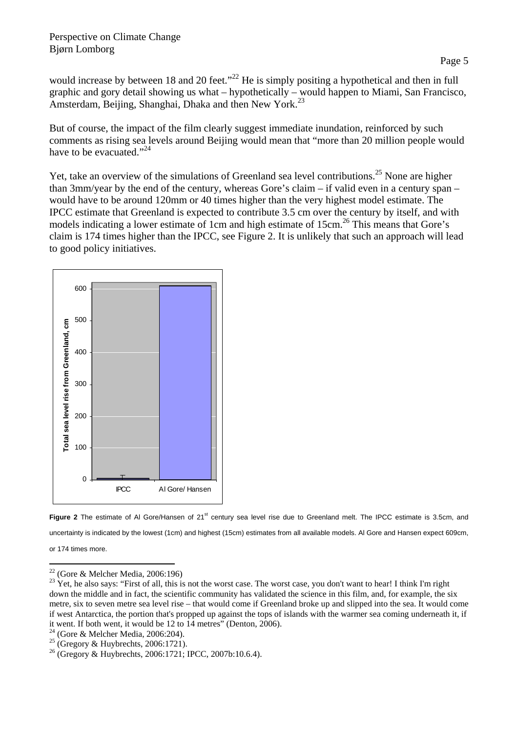#### Perspective on Climate Change Bjørn Lomborg

would increase by between 18 and 20 feet."<sup>22</sup> He is simply positing a hypothetical and then in full graphic and gory detail showing us what – hypothetically – would happen to Miami, San Francisco, Amsterdam, Beijing, Shanghai, Dhaka and then New York.<sup>23</sup>

But of course, the impact of the film clearly suggest immediate inundation, reinforced by such comments as rising sea levels around Beijing would mean that "more than 20 million people would have to be evacuated."<sup>24</sup>

Yet, take an overview of the simulations of Greenland sea level contributions.<sup>25</sup> None are higher than 3mm/year by the end of the century, whereas Gore's claim – if valid even in a century span – would have to be around 120mm or 40 times higher than the very highest model estimate. The IPCC estimate that Greenland is expected to contribute 3.5 cm over the century by itself, and with models indicating a lower estimate of 1cm and high estimate of  $15cm<sup>26</sup>$  This means that Gore's claim is 174 times higher than the IPCC, see Figure 2. It is unlikely that such an approach will lead to good policy initiatives.





or 174 times more.

 $\overline{a}$  $22$  (Gore & Melcher Media, 2006:196)

 $23$  Yet, he also says: "First of all, this is not the worst case. The worst case, you don't want to hear! I think I'm right down the middle and in fact, the scientific community has validated the science in this film, and, for example, the six metre, six to seven metre sea level rise – that would come if Greenland broke up and slipped into the sea. It would come if west Antarctica, the portion that's propped up against the tops of islands with the warmer sea coming underneath it, if it went. If both went, it would be 12 to 14 metres" (Denton, 2006).

 $24$  (Gore & Melcher Media, 2006:204).

 $25$  (Gregory & Huybrechts, 2006:1721).

<sup>26 (</sup>Gregory & Huybrechts, 2006:1721; IPCC, 2007b:10.6.4).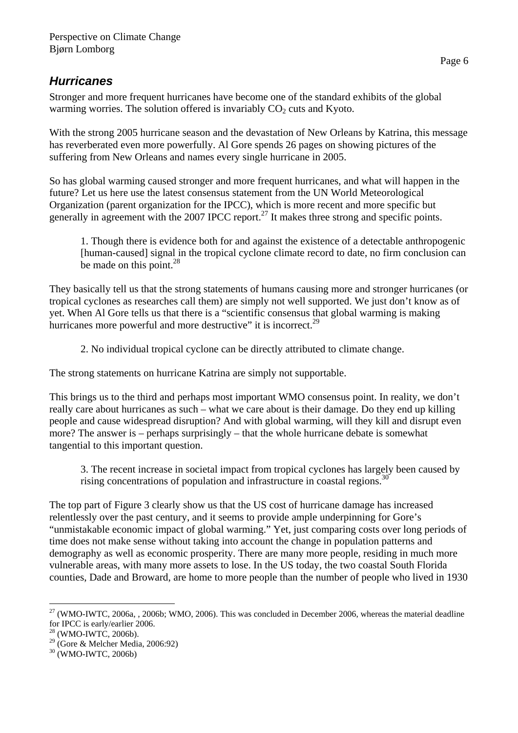### *Hurricanes*

Stronger and more frequent hurricanes have become one of the standard exhibits of the global warming worries. The solution offered is invariably  $CO<sub>2</sub>$  cuts and Kyoto.

With the strong 2005 hurricane season and the devastation of New Orleans by Katrina, this message has reverberated even more powerfully. Al Gore spends 26 pages on showing pictures of the suffering from New Orleans and names every single hurricane in 2005.

So has global warming caused stronger and more frequent hurricanes, and what will happen in the future? Let us here use the latest consensus statement from the UN World Meteorological Organization (parent organization for the IPCC), which is more recent and more specific but generally in agreement with the 2007 IPCC report.<sup>27</sup> It makes three strong and specific points.

1. Though there is evidence both for and against the existence of a detectable anthropogenic [human-caused] signal in the tropical cyclone climate record to date, no firm conclusion can be made on this point.<sup>28</sup>

They basically tell us that the strong statements of humans causing more and stronger hurricanes (or tropical cyclones as researches call them) are simply not well supported. We just don't know as of yet. When Al Gore tells us that there is a "scientific consensus that global warming is making hurricanes more powerful and more destructive" it is incorrect.<sup>29</sup>

2. No individual tropical cyclone can be directly attributed to climate change.

The strong statements on hurricane Katrina are simply not supportable.

This brings us to the third and perhaps most important WMO consensus point. In reality, we don't really care about hurricanes as such – what we care about is their damage. Do they end up killing people and cause widespread disruption? And with global warming, will they kill and disrupt even more? The answer is – perhaps surprisingly – that the whole hurricane debate is somewhat tangential to this important question.

3. The recent increase in societal impact from tropical cyclones has largely been caused by rising concentrations of population and infrastructure in coastal regions.<sup>3</sup>

The top part of Figure 3 clearly show us that the US cost of hurricane damage has increased relentlessly over the past century, and it seems to provide ample underpinning for Gore's "unmistakable economic impact of global warming." Yet, just comparing costs over long periods of time does not make sense without taking into account the change in population patterns and demography as well as economic prosperity. There are many more people, residing in much more vulnerable areas, with many more assets to lose. In the US today, the two coastal South Florida counties, Dade and Broward, are home to more people than the number of people who lived in 1930

 $\overline{a}$  $27$  (WMO-IWTC, 2006a, , 2006b; WMO, 2006). This was concluded in December 2006, whereas the material deadline for IPCC is early/earlier 2006.

 $28$  (WMO-IWTC, 2006b).

<sup>29 (</sup>Gore & Melcher Media, 2006:92)

<sup>30 (</sup>WMO-IWTC, 2006b)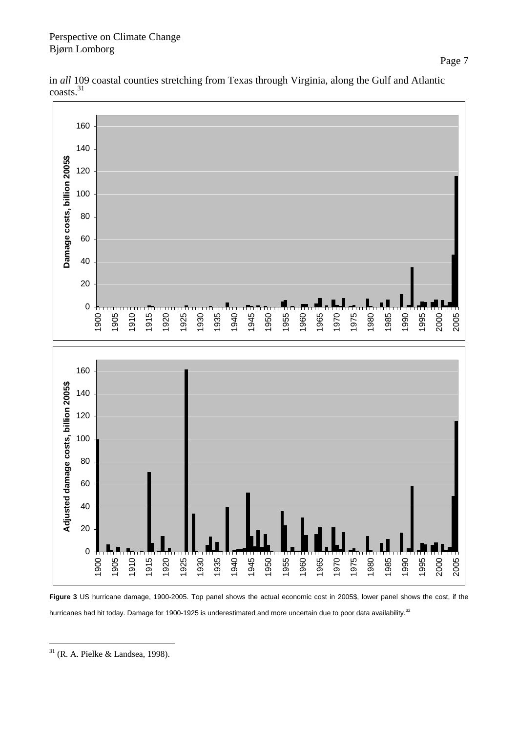#### Perspective on Climate Change Bjørn Lomborg

in *all* 109 coastal counties stretching from Texas through Virginia, along the Gulf and Atlantic coasts.<sup>31</sup>



**Figure 3** US hurricane damage, 1900-2005. Top panel shows the actual economic cost in 2005\$, lower panel shows the cost, if the hurricanes had hit today. Damage for 1900-1925 is underestimated and more uncertain due to poor data availability.<sup>32</sup>

 $\overline{a}$ (R. A. Pielke & Landsea, 1998).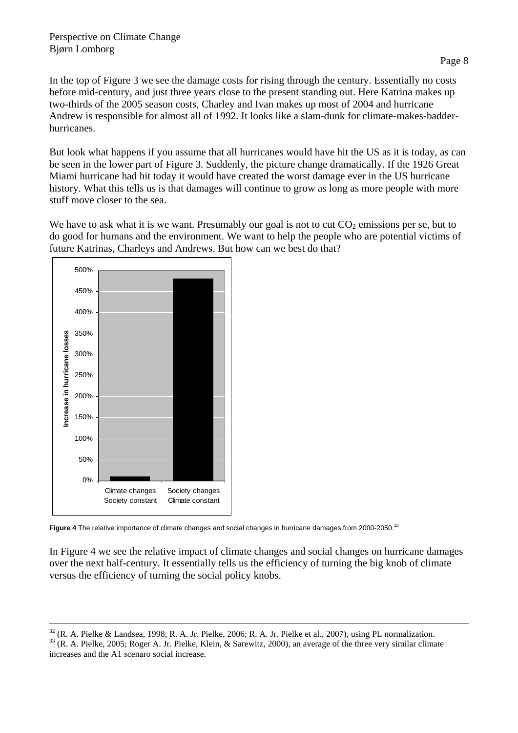In the top of Figure 3 we see the damage costs for rising through the century. Essentially no costs before mid-century, and just three years close to the present standing out. Here Katrina makes up two-thirds of the 2005 season costs, Charley and Ivan makes up most of 2004 and hurricane Andrew is responsible for almost all of 1992. It looks like a slam-dunk for climate-makes-badderhurricanes.

But look what happens if you assume that all hurricanes would have hit the US as it is today, as can be seen in the lower part of Figure 3. Suddenly, the picture change dramatically. If the 1926 Great Miami hurricane had hit today it would have created the worst damage ever in the US hurricane history. What this tells us is that damages will continue to grow as long as more people with more stuff move closer to the sea.

We have to ask what it is we want. Presumably our goal is not to cut  $CO<sub>2</sub>$  emissions per se, but to do good for humans and the environment. We want to help the people who are potential victims of future Katrinas, Charleys and Andrews. But how can we best do that?



**Figure 4** The relative importance of climate changes and social changes in hurricane damages from 2000-2050.<sup>33</sup>

In Figure 4 we see the relative impact of climate changes and social changes on hurricane damages over the next half-century. It essentially tells us the efficiency of turning the big knob of climate versus the efficiency of turning the social policy knobs.

 $32$  (R. A. Pielke & Landsea, 1998; R. A. Jr. Pielke, 2006; R. A. Jr. Pielke et al., 2007), using PL normalization.

<sup>&</sup>lt;sup>33</sup> (R. A. Pielke, 2005; Roger A. Jr. Pielke, Klein, & Sarewitz, 2000), an average of the three very similar climate increases and the A1 scenaro social increase.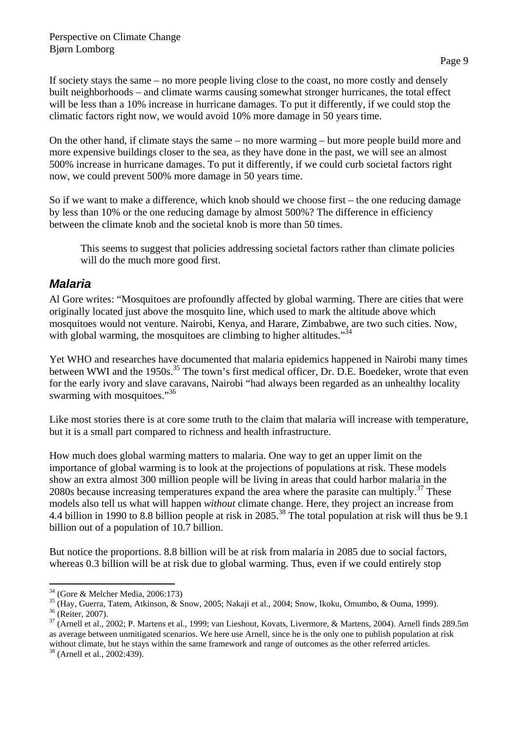If society stays the same – no more people living close to the coast, no more costly and densely built neighborhoods – and climate warms causing somewhat stronger hurricanes, the total effect will be less than a 10% increase in hurricane damages. To put it differently, if we could stop the climatic factors right now, we would avoid 10% more damage in 50 years time.

On the other hand, if climate stays the same – no more warming – but more people build more and more expensive buildings closer to the sea, as they have done in the past, we will see an almost 500% increase in hurricane damages. To put it differently, if we could curb societal factors right now, we could prevent 500% more damage in 50 years time.

So if we want to make a difference, which knob should we choose first – the one reducing damage by less than 10% or the one reducing damage by almost 500%? The difference in efficiency between the climate knob and the societal knob is more than 50 times.

This seems to suggest that policies addressing societal factors rather than climate policies will do the much more good first.

### *Malaria*

Al Gore writes: "Mosquitoes are profoundly affected by global warming. There are cities that were originally located just above the mosquito line, which used to mark the altitude above which mosquitoes would not venture. Nairobi, Kenya, and Harare, Zimbabwe, are two such cities. Now, with global warming, the mosquitoes are climbing to higher altitudes."<sup>34</sup>

Yet WHO and researches have documented that malaria epidemics happened in Nairobi many times between WWI and the 1950s.<sup>35</sup> The town's first medical officer, Dr. D.E. Boedeker, wrote that even for the early ivory and slave caravans, Nairobi "had always been regarded as an unhealthy locality swarming with mosquitoes."<sup>36</sup>

Like most stories there is at core some truth to the claim that malaria will increase with temperature, but it is a small part compared to richness and health infrastructure.

How much does global warming matters to malaria. One way to get an upper limit on the importance of global warming is to look at the projections of populations at risk. These models show an extra almost 300 million people will be living in areas that could harbor malaria in the 2080s because increasing temperatures expand the area where the parasite can multiply. $37$  These models also tell us what will happen *without* climate change. Here, they project an increase from 4.4 billion in 1990 to 8.8 billion people at risk in 2085.<sup>38</sup> The total population at risk will thus be 9.1 billion out of a population of 10.7 billion.

But notice the proportions. 8.8 billion will be at risk from malaria in 2085 due to social factors, whereas 0.3 billion will be at risk due to global warming. Thus, even if we could entirely stop

 $\overline{a}$ 34 (Gore & Melcher Media, 2006:173)

<sup>35 (</sup>Hay, Guerra, Tatem, Atkinson, & Snow, 2005; Nakaji et al., 2004; Snow, Ikoku, Omumbo, & Ouma, 1999).

<sup>36 (</sup>Reiter, 2007).

 $37$  (Arnell et al., 2002; P. Martens et al., 1999; van Lieshout, Kovats, Livermore, & Martens, 2004). Arnell finds 289.5m as average between unmitigated scenarios. We here use Arnell, since he is the only one to publish population at risk without climate, but he stays within the same framework and range of outcomes as the other referred articles. <sup>38</sup> (Arnell et al., 2002:439).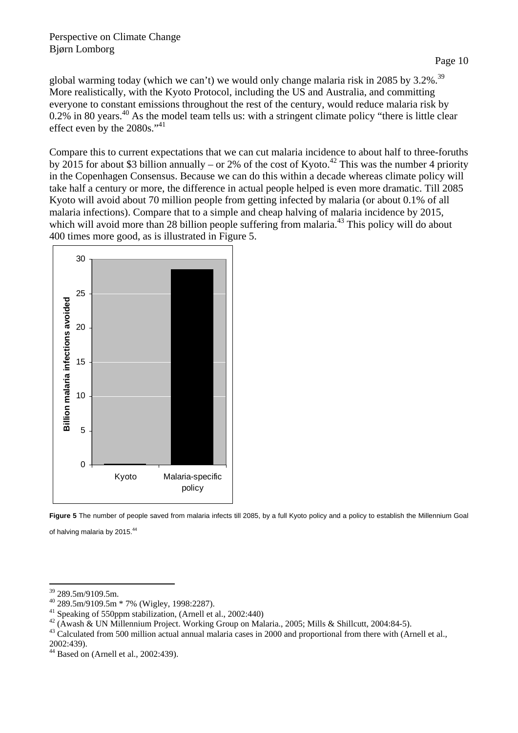global warming today (which we can't) we would only change malaria risk in 2085 by 3.2%.<sup>39</sup> More realistically, with the Kyoto Protocol, including the US and Australia, and committing everyone to constant emissions throughout the rest of the century, would reduce malaria risk by 0.2% in 80 years.<sup>40</sup> As the model team tells us: with a stringent climate policy "there is little clear" effect even by the 2080s."<sup>41</sup>

Compare this to current expectations that we can cut malaria incidence to about half to three-foruths by 2015 for about \$3 billion annually – or 2% of the cost of Kyoto.<sup>42</sup> This was the number 4 priority in the Copenhagen Consensus. Because we can do this within a decade whereas climate policy will take half a century or more, the difference in actual people helped is even more dramatic. Till 2085 Kyoto will avoid about 70 million people from getting infected by malaria (or about 0.1% of all malaria infections). Compare that to a simple and cheap halving of malaria incidence by 2015, which will avoid more than 28 billion people suffering from malaria.<sup>43</sup> This policy will do about 400 times more good, as is illustrated in Figure 5.





 $\overline{a}$ 39 289.5m/9109.5m.

 $^{40}$  289.5m/9109.5m  $*$  7% (Wigley, 1998:2287).<br><sup>41</sup> Speaking of 550ppm stabilization, (Arnell et al., 2002:440)

<sup>&</sup>lt;sup>42</sup> (Awash & UN Millennium Project. Working Group on Malaria., 2005; Mills & Shillcutt, 2004:84-5).<br><sup>43</sup> Calculated from 500 million actual annual malaria cases in 2000 and proportional from there with (Arnell et al.,

<sup>2002:439).</sup> 

 $44$  Based on (Arnell et al., 2002:439).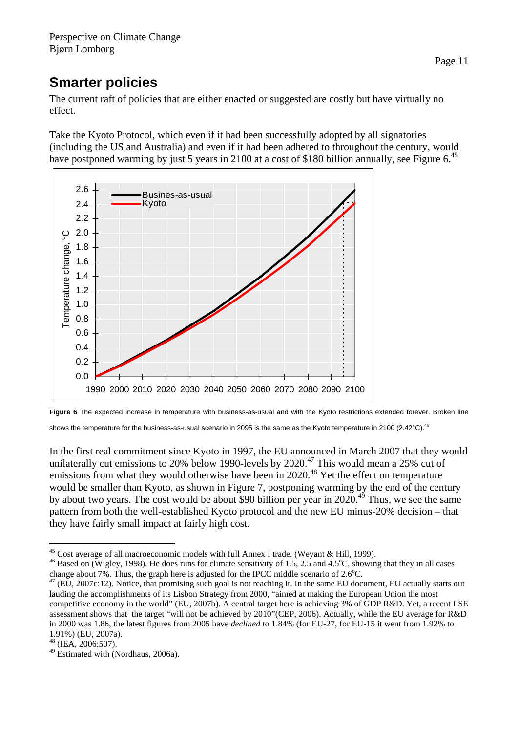# **Smarter policies**

The current raft of policies that are either enacted or suggested are costly but have virtually no effect.

Take the Kyoto Protocol, which even if it had been successfully adopted by all signatories (including the US and Australia) and even if it had been adhered to throughout the century, would have postponed warming by just 5 years in 2100 at a cost of \$180 billion annually, see Figure 6.<sup>45</sup>





In the first real commitment since Kyoto in 1997, the EU announced in March 2007 that they would unilaterally cut emissions to 20% below 1990-levels by  $2020<sup>47</sup>$  This would mean a 25% cut of emissions from what they would otherwise have been in 2020.<sup>48</sup> Yet the effect on temperature would be smaller than Kyoto, as shown in Figure 7, postponing warming by the end of the century by about two years. The cost would be about \$90 billion per year in  $2020$ .<sup>49</sup> Thus, we see the same pattern from both the well-established Kyoto protocol and the new EU minus-20% decision – that they have fairly small impact at fairly high cost.

 $\overline{a}$ <sup>45</sup> Cost average of all macroeconomic models with full Annex I trade, (Weyant & Hill, 1999).

<sup>&</sup>lt;sup>46</sup> Based on (Wigley, 1998). He does runs for climate sensitivity of 1.5, 2.5 and 4.5 $^{\circ}$ C, showing that they in all cases change about 7%. Thus, the graph here is adjusted for the IPCC middle scenario of 2.6°C.<br><sup>47</sup> (EU, 2007c:12). Notice, that promising such goal is not reaching it. In the same EU document, EU actually starts out

lauding the accomplishments of its Lisbon Strategy from 2000, "aimed at making the European Union the most competitive economy in the world" (EU, 2007b). A central target here is achieving 3% of GDP R&D. Yet, a recent LSE assessment shows that the target "will not be achieved by 2010"(CEP, 2006). Actually, while the EU average for R&D in 2000 was 1.86, the latest figures from 2005 have *declined* to 1.84% (for EU-27, for EU-15 it went from 1.92% to 1.91%) (EU, 2007a).

 $48$  (IEA, 2006:507).

<sup>49</sup> Estimated with (Nordhaus, 2006a).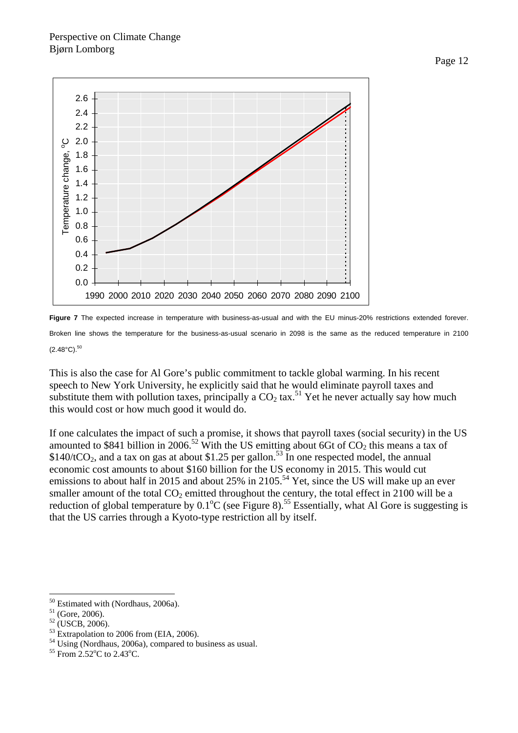



This is also the case for Al Gore's public commitment to tackle global warming. In his recent speech to New York University, he explicitly said that he would eliminate payroll taxes and substitute them with pollution taxes, principally a  $CO<sub>2</sub>$  tax.<sup>51</sup> Yet he never actually say how much this would cost or how much good it would do.

If one calculates the impact of such a promise, it shows that payroll taxes (social security) in the US amounted to \$841 billion in 2006.<sup>52</sup> With the US emitting about 6Gt of  $CO<sub>2</sub>$  this means a tax of  $$140/tCO<sub>2</sub>$ , and a tax on gas at about \$1.25 per gallon.<sup>53</sup> In one respected model, the annual economic cost amounts to about \$160 billion for the US economy in 2015. This would cut emissions to about half in 2015 and about 25% in 2105.<sup>54</sup> Yet, since the US will make up an ever smaller amount of the total  $CO<sub>2</sub>$  emitted throughout the century, the total effect in 2100 will be a reduction of global temperature by  $0.1^{\circ}$ C (see Figure 8).<sup>55</sup> Essentially, what Al Gore is suggesting is that the US carries through a Kyoto-type restriction all by itself.

 $\overline{a}$ 

<sup>53</sup> Extrapolation to 2006 from (EIA, 2006).

<sup>50</sup> Estimated with (Nordhaus, 2006a).

 $51$  (Gore, 2006).

 $52$  (USCB, 2006).

<sup>54</sup> Using (Nordhaus, 2006a), compared to business as usual.

 $55$  From 2.52 $^{\circ}$ C to 2.43 $^{\circ}$ C.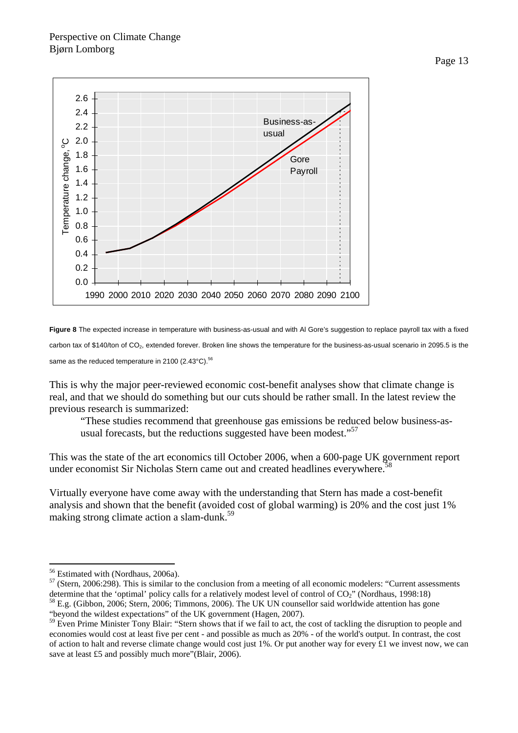

**Figure 8** The expected increase in temperature with business-as-usual and with Al Gore's suggestion to replace payroll tax with a fixed carbon tax of \$140/ton of  $CO<sub>2</sub>$ , extended forever. Broken line shows the temperature for the business-as-usual scenario in 2095.5 is the same as the reduced temperature in 2100 (2.43 $^{\circ}$ C).<sup>56</sup>

This is why the major peer-reviewed economic cost-benefit analyses show that climate change is real, and that we should do something but our cuts should be rather small. In the latest review the previous research is summarized:

"These studies recommend that greenhouse gas emissions be reduced below business-asusual forecasts, but the reductions suggested have been modest."<sup>57</sup>

This was the state of the art economics till October 2006, when a 600-page UK government report under economist Sir Nicholas Stern came out and created headlines everywhere.<sup>5</sup>

Virtually everyone have come away with the understanding that Stern has made a cost-benefit analysis and shown that the benefit (avoided cost of global warming) is 20% and the cost just 1% making strong climate action a slam-dunk.<sup>59</sup>

"beyond the wildest expectations" of the UK government (Hagen, 2007).

 $\overline{a}$ 56 Estimated with (Nordhaus, 2006a).

 $57$  (Stern, 2006:298). This is similar to the conclusion from a meeting of all economic modelers: "Current assessments determine that the 'optimal' policy calls for a relatively modest level of control of  $CO_2$ " (Nordhaus, 1998:18)  $^{58}$  E.g. (Gibbon, 2006; Stern, 2006; Timmons, 2006). The UK UN counsellor said worldwide attention has go

<sup>&</sup>lt;sup>59</sup> Even Prime Minister Tony Blair: "Stern shows that if we fail to act, the cost of tackling the disruption to people and economies would cost at least five per cent - and possible as much as 20% - of the world's output. In contrast, the cost of action to halt and reverse climate change would cost just 1%. Or put another way for every  $\pounds$ 1 we invest now, we can save at least £5 and possibly much more"(Blair, 2006).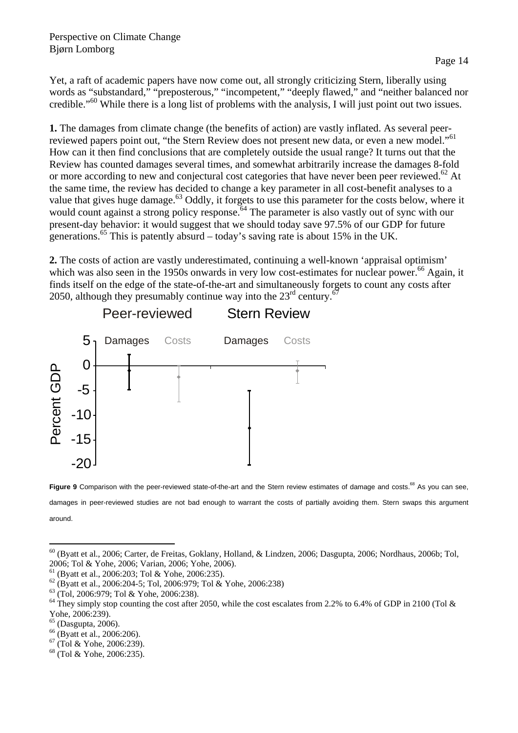Yet, a raft of academic papers have now come out, all strongly criticizing Stern, liberally using words as "substandard," "preposterous," "incompetent," "deeply flawed," and "neither balanced nor credible."60 While there is a long list of problems with the analysis, I will just point out two issues.

**1.** The damages from climate change (the benefits of action) are vastly inflated. As several peerreviewed papers point out, "the Stern Review does not present new data, or even a new model."<sup>61</sup> How can it then find conclusions that are completely outside the usual range? It turns out that the Review has counted damages several times, and somewhat arbitrarily increase the damages 8-fold or more according to new and conjectural cost categories that have never been peer reviewed.<sup>62</sup> At the same time, the review has decided to change a key parameter in all cost-benefit analyses to a value that gives huge damage.<sup>63</sup> Oddly, it forgets to use this parameter for the costs below, where it would count against a strong policy response.<sup>64</sup> The parameter is also vastly out of sync with our present-day behavior: it would suggest that we should today save 97.5% of our GDP for future generations.<sup>65</sup> This is patently absurd – today's saving rate is about 15% in the UK.

**2.** The costs of action are vastly underestimated, continuing a well-known 'appraisal optimism' which was also seen in the 1950s onwards in very low cost-estimates for nuclear power.<sup>66</sup> Again, it finds itself on the edge of the state-of-the-art and simultaneously forgets to count any costs after 2050, although they presumably continue way into the  $23<sup>rd</sup>$  century.<sup>67</sup>





 $\overline{a}$ 60 (Byatt et al., 2006; Carter, de Freitas, Goklany, Holland, & Lindzen, 2006; Dasgupta, 2006; Nordhaus, 2006b; Tol, 2006; Tol & Yohe, 2006; Varian, 2006; Yohe, 2006).

- 66 (Byatt et al., 2006:206).
- 67 (Tol & Yohe, 2006:239).
- 68 (Tol & Yohe, 2006:235).

 $61$  (Byatt et al., 2006:203; Tol & Yohe, 2006:235).

<sup>62 (</sup>Byatt et al., 2006:204-5; Tol, 2006:979; Tol & Yohe, 2006:238)

<sup>63 (</sup>Tol, 2006:979; Tol & Yohe, 2006:238).

 $64$  They simply stop counting the cost after 2050, while the cost escalates from 2.2% to 6.4% of GDP in 2100 (Tol & Yohe, 2006:239).

 $65$  (Dasgupta, 2006).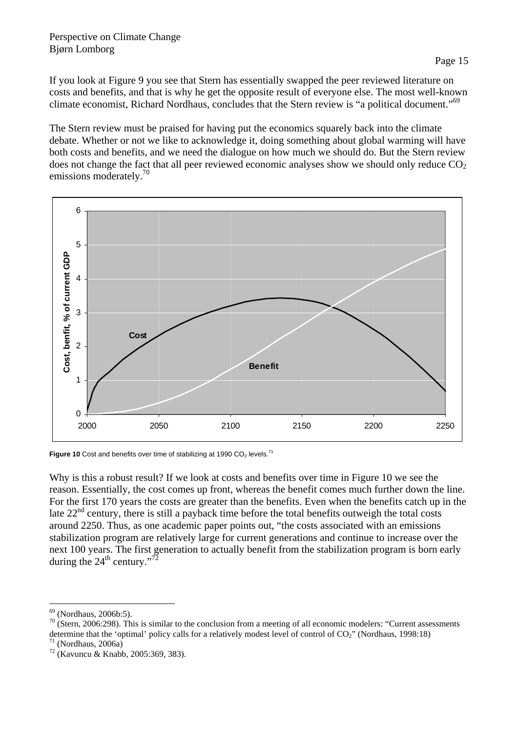#### Perspective on Climate Change Bjørn Lomborg

If you look at Figure 9 you see that Stern has essentially swapped the peer reviewed literature on costs and benefits, and that is why he get the opposite result of everyone else. The most well-known climate economist, Richard Nordhaus, concludes that the Stern review is "a political document."69

The Stern review must be praised for having put the economics squarely back into the climate debate. Whether or not we like to acknowledge it, doing something about global warming will have both costs and benefits, and we need the dialogue on how much we should do. But the Stern review does not change the fact that all peer reviewed economic analyses show we should only reduce  $CO<sub>2</sub>$ emissions moderately.<sup>70</sup>



**Figure 10** Cost and benefits over time of stabilizing at 1990 CO<sub>2</sub> levels.<sup>71</sup>

Why is this a robust result? If we look at costs and benefits over time in Figure 10 we see the reason. Essentially, the cost comes up front, whereas the benefit comes much further down the line. For the first 170 years the costs are greater than the benefits. Even when the benefits catch up in the late  $22<sup>nd</sup>$  century, there is still a payback time before the total benefits outweigh the total costs around 2250. Thus, as one academic paper points out, "the costs associated with an emissions stabilization program are relatively large for current generations and continue to increase over the next 100 years. The first generation to actually benefit from the stabilization program is born early during the  $24^{\text{th}}$  century."<sup>72</sup>

 $\overline{a}$  $69$  (Nordhaus, 2006b:5).

 $70$  (Stern, 2006:298). This is similar to the conclusion from a meeting of all economic modelers: "Current assessments determine that the 'optimal' policy calls for a relatively modest level of control of  $CO<sub>2</sub>$ " (Nordhaus, 1998:18) <sup>71</sup> (Nordhaus, 2006a)

<sup>72 (</sup>Kavuncu & Knabb, 2005:369, 383).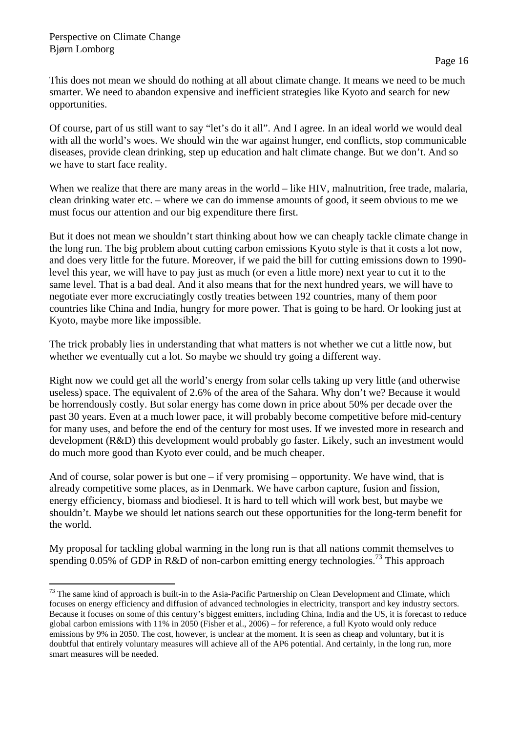$\overline{a}$ 

This does not mean we should do nothing at all about climate change. It means we need to be much smarter. We need to abandon expensive and inefficient strategies like Kyoto and search for new opportunities.

Of course, part of us still want to say "let's do it all". And I agree. In an ideal world we would deal with all the world's woes. We should win the war against hunger, end conflicts, stop communicable diseases, provide clean drinking, step up education and halt climate change. But we don't. And so we have to start face reality.

When we realize that there are many areas in the world – like HIV, malnutrition, free trade, malaria, clean drinking water etc. – where we can do immense amounts of good, it seem obvious to me we must focus our attention and our big expenditure there first.

But it does not mean we shouldn't start thinking about how we can cheaply tackle climate change in the long run. The big problem about cutting carbon emissions Kyoto style is that it costs a lot now, and does very little for the future. Moreover, if we paid the bill for cutting emissions down to 1990 level this year, we will have to pay just as much (or even a little more) next year to cut it to the same level. That is a bad deal. And it also means that for the next hundred years, we will have to negotiate ever more excruciatingly costly treaties between 192 countries, many of them poor countries like China and India, hungry for more power. That is going to be hard. Or looking just at Kyoto, maybe more like impossible.

The trick probably lies in understanding that what matters is not whether we cut a little now, but whether we eventually cut a lot. So maybe we should try going a different way.

Right now we could get all the world's energy from solar cells taking up very little (and otherwise useless) space. The equivalent of 2.6% of the area of the Sahara. Why don't we? Because it would be horrendously costly. But solar energy has come down in price about 50% per decade over the past 30 years. Even at a much lower pace, it will probably become competitive before mid-century for many uses, and before the end of the century for most uses. If we invested more in research and development (R&D) this development would probably go faster. Likely, such an investment would do much more good than Kyoto ever could, and be much cheaper.

And of course, solar power is but one – if very promising – opportunity. We have wind, that is already competitive some places, as in Denmark. We have carbon capture, fusion and fission, energy efficiency, biomass and biodiesel. It is hard to tell which will work best, but maybe we shouldn't. Maybe we should let nations search out these opportunities for the long-term benefit for the world.

My proposal for tackling global warming in the long run is that all nations commit themselves to spending 0.05% of GDP in R&D of non-carbon emitting energy technologies.<sup>73</sup> This approach

<sup>&</sup>lt;sup>73</sup> The same kind of approach is built-in to the Asia-Pacific Partnership on Clean Development and Climate, which focuses on energy efficiency and diffusion of advanced technologies in electricity, transport and key industry sectors. Because it focuses on some of this century's biggest emitters, including China, India and the US, it is forecast to reduce global carbon emissions with 11% in 2050 (Fisher et al., 2006) – for reference, a full Kyoto would only reduce emissions by 9% in 2050. The cost, however, is unclear at the moment. It is seen as cheap and voluntary, but it is doubtful that entirely voluntary measures will achieve all of the AP6 potential. And certainly, in the long run, more smart measures will be needed.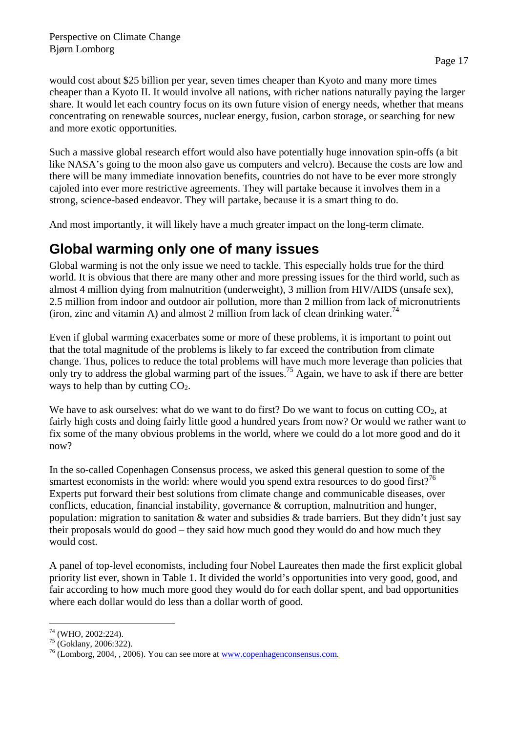would cost about \$25 billion per year, seven times cheaper than Kyoto and many more times cheaper than a Kyoto II. It would involve all nations, with richer nations naturally paying the larger share. It would let each country focus on its own future vision of energy needs, whether that means concentrating on renewable sources, nuclear energy, fusion, carbon storage, or searching for new and more exotic opportunities.

Such a massive global research effort would also have potentially huge innovation spin-offs (a bit like NASA's going to the moon also gave us computers and velcro). Because the costs are low and there will be many immediate innovation benefits, countries do not have to be ever more strongly cajoled into ever more restrictive agreements. They will partake because it involves them in a strong, science-based endeavor. They will partake, because it is a smart thing to do.

And most importantly, it will likely have a much greater impact on the long-term climate.

# **Global warming only one of many issues**

Global warming is not the only issue we need to tackle. This especially holds true for the third world. It is obvious that there are many other and more pressing issues for the third world, such as almost 4 million dying from malnutrition (underweight), 3 million from HIV/AIDS (unsafe sex), 2.5 million from indoor and outdoor air pollution, more than 2 million from lack of micronutrients (iron, zinc and vitamin A) and almost 2 million from lack of clean drinking water.<sup>74</sup>

Even if global warming exacerbates some or more of these problems, it is important to point out that the total magnitude of the problems is likely to far exceed the contribution from climate change. Thus, polices to reduce the total problems will have much more leverage than policies that only try to address the global warming part of the issues.75 Again, we have to ask if there are better ways to help than by cutting  $CO<sub>2</sub>$ .

We have to ask ourselves: what do we want to do first? Do we want to focus on cutting  $CO<sub>2</sub>$ , at fairly high costs and doing fairly little good a hundred years from now? Or would we rather want to fix some of the many obvious problems in the world, where we could do a lot more good and do it now?

In the so-called Copenhagen Consensus process, we asked this general question to some of the smartest economists in the world: where would you spend extra resources to do good first?<sup>76</sup> Experts put forward their best solutions from climate change and communicable diseases, over conflicts, education, financial instability, governance & corruption, malnutrition and hunger, population: migration to sanitation  $\&$  water and subsidies  $\&$  trade barriers. But they didn't just say their proposals would do good – they said how much good they would do and how much they would cost.

A panel of top-level economists, including four Nobel Laureates then made the first explicit global priority list ever, shown in Table 1. It divided the world's opportunities into very good, good, and fair according to how much more good they would do for each dollar spent, and bad opportunities where each dollar would do less than a dollar worth of good.

 $\overline{a}$  $74$  (WHO, 2002:224).

 $75$  (Goklany, 2006:322).

<sup>&</sup>lt;sup>76</sup> (Lomborg, 2004, , 2006). You can see more at <u>www.copenhagenconsensus.com</u>.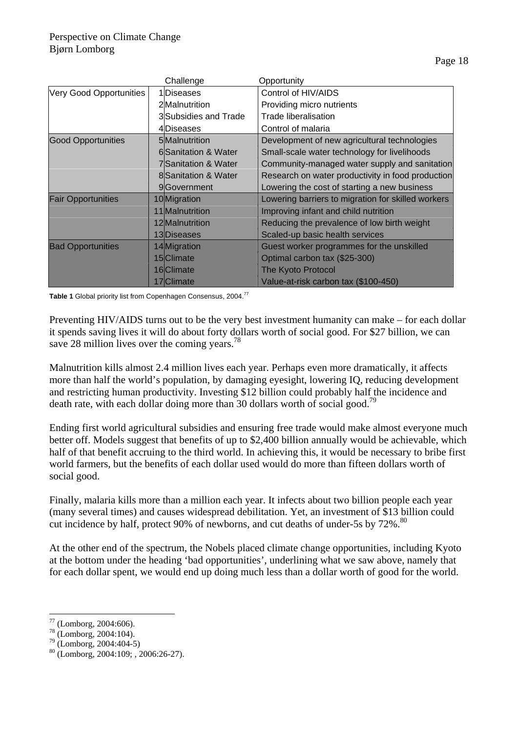|                           | Challenge                   | Opportunity                                        |
|---------------------------|-----------------------------|----------------------------------------------------|
| Very Good Opportunities   | 1 Diseases                  | Control of HIV/AIDS                                |
|                           | 2Malnutrition               | Providing micro nutrients                          |
|                           | 3 Subsidies and Trade       | Trade liberalisation                               |
|                           | 4Diseases                   | Control of malaria                                 |
| <b>Good Opportunities</b> | 5 Malnutrition              | Development of new agricultural technologies       |
|                           | 6 Sanitation & Water        | Small-scale water technology for livelihoods       |
|                           | <b>7</b> Sanitation & Water | Community-managed water supply and sanitation      |
|                           | 8 Sanitation & Water        | Research on water productivity in food production  |
|                           | 9 <sub>Government</sub>     | Lowering the cost of starting a new business       |
| <b>Fair Opportunities</b> | 10 Migration                | Lowering barriers to migration for skilled workers |
|                           | 11 Malnutrition             | Improving infant and child nutrition               |
|                           | 12 Malnutrition             | Reducing the prevalence of low birth weight        |
|                           | 13Diseases                  | Scaled-up basic health services                    |
| <b>Bad Opportunities</b>  | 14 Migration                | Guest worker programmes for the unskilled          |
|                           | 15 Climate                  | Optimal carbon tax (\$25-300)                      |
|                           | 16 Climate                  | The Kyoto Protocol                                 |
|                           | 17 Climate                  | Value-at-risk carbon tax (\$100-450)               |

**Table 1** Global priority list from Copenhagen Consensus, 2004.<sup>77</sup>

Preventing HIV/AIDS turns out to be the very best investment humanity can make – for each dollar it spends saving lives it will do about forty dollars worth of social good. For \$27 billion, we can save 28 million lives over the coming years.<sup>78</sup>

Malnutrition kills almost 2.4 million lives each year. Perhaps even more dramatically, it affects more than half the world's population, by damaging eyesight, lowering IQ, reducing development and restricting human productivity. Investing \$12 billion could probably half the incidence and death rate, with each dollar doing more than 30 dollars worth of social good.<sup>79</sup>

Ending first world agricultural subsidies and ensuring free trade would make almost everyone much better off. Models suggest that benefits of up to \$2,400 billion annually would be achievable, which half of that benefit accruing to the third world. In achieving this, it would be necessary to bribe first world farmers, but the benefits of each dollar used would do more than fifteen dollars worth of social good.

Finally, malaria kills more than a million each year. It infects about two billion people each year (many several times) and causes widespread debilitation. Yet, an investment of \$13 billion could cut incidence by half, protect 90% of newborns, and cut deaths of under-5s by 72%.<sup>80</sup>

At the other end of the spectrum, the Nobels placed climate change opportunities, including Kyoto at the bottom under the heading 'bad opportunities', underlining what we saw above, namely that for each dollar spent, we would end up doing much less than a dollar worth of good for the world.

 $\overline{a}$ 77 (Lomborg, 2004:606).

 $78$  (Lomborg, 2004:104).

 $79$  (Lomborg, 2004:404-5)

<sup>80 (</sup>Lomborg, 2004:109; , 2006:26-27).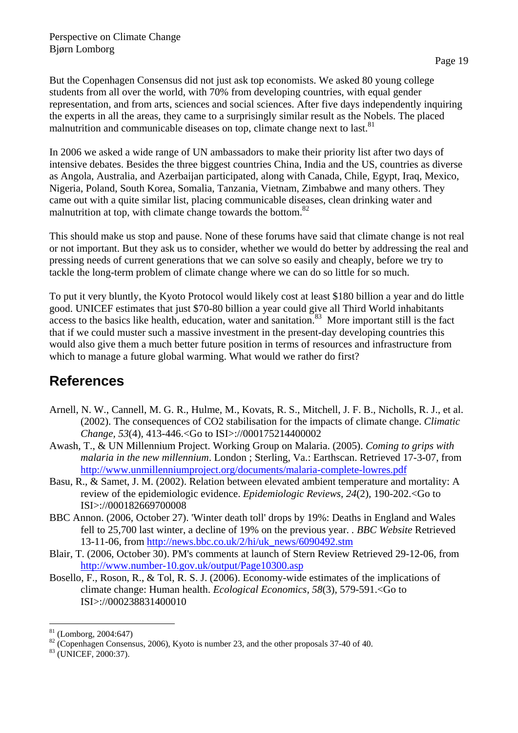But the Copenhagen Consensus did not just ask top economists. We asked 80 young college students from all over the world, with 70% from developing countries, with equal gender representation, and from arts, sciences and social sciences. After five days independently inquiring the experts in all the areas, they came to a surprisingly similar result as the Nobels. The placed malnutrition and communicable diseases on top, climate change next to last.<sup>81</sup>

In 2006 we asked a wide range of UN ambassadors to make their priority list after two days of intensive debates. Besides the three biggest countries China, India and the US, countries as diverse as Angola, Australia, and Azerbaijan participated, along with Canada, Chile, Egypt, Iraq, Mexico, Nigeria, Poland, South Korea, Somalia, Tanzania, Vietnam, Zimbabwe and many others. They came out with a quite similar list, placing communicable diseases, clean drinking water and malnutrition at top, with climate change towards the bottom.<sup>82</sup>

This should make us stop and pause. None of these forums have said that climate change is not real or not important. But they ask us to consider, whether we would do better by addressing the real and pressing needs of current generations that we can solve so easily and cheaply, before we try to tackle the long-term problem of climate change where we can do so little for so much.

To put it very bluntly, the Kyoto Protocol would likely cost at least \$180 billion a year and do little good. UNICEF estimates that just \$70-80 billion a year could give all Third World inhabitants access to the basics like health, education, water and sanitation.<sup>83</sup> More important still is the fact that if we could muster such a massive investment in the present-day developing countries this would also give them a much better future position in terms of resources and infrastructure from which to manage a future global warming. What would we rather do first?

## **References**

- Arnell, N. W., Cannell, M. G. R., Hulme, M., Kovats, R. S., Mitchell, J. F. B., Nicholls, R. J., et al. (2002). The consequences of CO2 stabilisation for the impacts of climate change. *Climatic Change, 53*(4), 413-446.<Go to ISI>://000175214400002
- Awash, T., & UN Millennium Project. Working Group on Malaria. (2005). *Coming to grips with malaria in the new millennium*. London ; Sterling, Va.: Earthscan. Retrieved 17-3-07, from http://www.unmillenniumproject.org/documents/malaria-complete-lowres.pdf
- Basu, R., & Samet, J. M. (2002). Relation between elevated ambient temperature and mortality: A review of the epidemiologic evidence. *Epidemiologic Reviews, 24*(2), 190-202.<Go to ISI>://000182669700008
- BBC Annon. (2006, October 27). 'Winter death toll' drops by 19%: Deaths in England and Wales fell to 25,700 last winter, a decline of 19% on the previous year. *. BBC Website* Retrieved 13-11-06, from http://news.bbc.co.uk/2/hi/uk\_news/6090492.stm
- Blair, T. (2006, October 30). PM's comments at launch of Stern Review Retrieved 29-12-06, from http://www.number-10.gov.uk/output/Page10300.asp
- Bosello, F., Roson, R., & Tol, R. S. J. (2006). Economy-wide estimates of the implications of climate change: Human health. *Ecological Economics, 58*(3), 579-591.<Go to ISI>://000238831400010

 $\overline{a}$ 

 $81$  (Lomborg, 2004:647)

<sup>&</sup>lt;sup>82</sup> (Copenhagen Consensus, 2006), Kyoto is number 23, and the other proposals 37-40 of 40.<br><sup>83</sup> (UNICEF, 2000:37).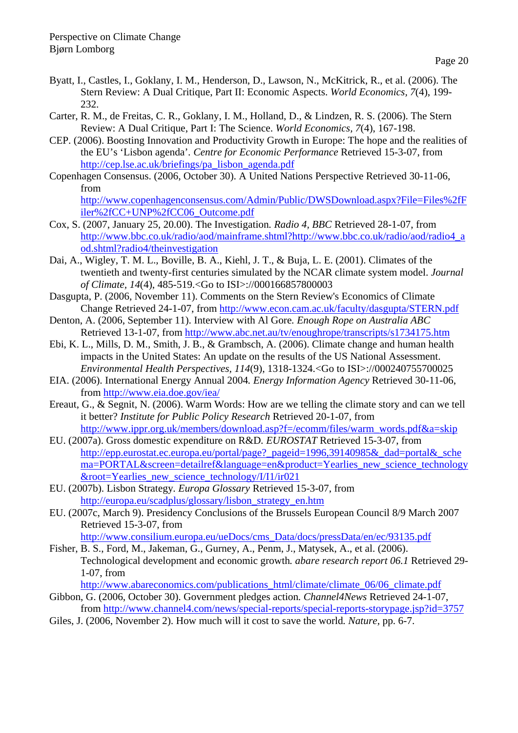- Byatt, I., Castles, I., Goklany, I. M., Henderson, D., Lawson, N., McKitrick, R., et al. (2006). The Stern Review: A Dual Critique, Part II: Economic Aspects. *World Economics, 7*(4), 199- 232.
- Carter, R. M., de Freitas, C. R., Goklany, I. M., Holland, D., & Lindzen, R. S. (2006). The Stern Review: A Dual Critique, Part I: The Science. *World Economics, 7*(4), 167-198.
- CEP. (2006). Boosting Innovation and Productivity Growth in Europe: The hope and the realities of the EU's 'Lisbon agenda'*. Centre for Economic Performance* Retrieved 15-3-07, from http://cep.lse.ac.uk/briefings/pa\_lisbon\_agenda.pdf
- Copenhagen Consensus. (2006, October 30). A United Nations Perspective Retrieved 30-11-06, from

http://www.copenhagenconsensus.com/Admin/Public/DWSDownload.aspx?File=Files%2fF iler%2fCC+UNP%2fCC06\_Outcome.pdf

- Cox, S. (2007, January 25, 20.00). The Investigation*. Radio 4, BBC* Retrieved 28-1-07, from http://www.bbc.co.uk/radio/aod/mainframe.shtml?http://www.bbc.co.uk/radio/aod/radio4\_a od.shtml?radio4/theinvestigation
- Dai, A., Wigley, T. M. L., Boville, B. A., Kiehl, J. T., & Buja, L. E. (2001). Climates of the twentieth and twenty-first centuries simulated by the NCAR climate system model. *Journal of Climate, 14*(4), 485-519.<Go to ISI>://000166857800003
- Dasgupta, P. (2006, November 11). Comments on the Stern Review's Economics of Climate Change Retrieved 24-1-07, from http://www.econ.cam.ac.uk/faculty/dasgupta/STERN.pdf
- Denton, A. (2006, September 11). Interview with Al Gore*. Enough Rope on Australia ABC* Retrieved 13-1-07, from http://www.abc.net.au/tv/enoughrope/transcripts/s1734175.htm
- Ebi, K. L., Mills, D. M., Smith, J. B., & Grambsch, A. (2006). Climate change and human health impacts in the United States: An update on the results of the US National Assessment. *Environmental Health Perspectives, 114*(9), 1318-1324.<Go to ISI>://000240755700025
- EIA. (2006). International Energy Annual 2004*. Energy Information Agency* Retrieved 30-11-06, from http://www.eia.doe.gov/iea/
- Ereaut, G., & Segnit, N. (2006). Warm Words: How are we telling the climate story and can we tell it better? *Institute for Public Policy Research* Retrieved 20-1-07, from http://www.ippr.org.uk/members/download.asp?f=/ecomm/files/warm\_words.pdf&a=skip
- EU. (2007a). Gross domestic expenditure on R&D*. EUROSTAT* Retrieved 15-3-07, from http://epp.eurostat.ec.europa.eu/portal/page?\_pageid=1996,39140985&\_dad=portal&\_sche ma=PORTAL&screen=detailref&language=en&product=Yearlies\_new\_science\_technology  $&\text{root}=Yearlies new science technology/I/I1/ir021$
- EU. (2007b). Lisbon Strategy*. Europa Glossary* Retrieved 15-3-07, from http://europa.eu/scadplus/glossary/lisbon\_strategy\_en.htm
- EU. (2007c, March 9). Presidency Conclusions of the Brussels European Council 8/9 March 2007 Retrieved 15-3-07, from

http://www.consilium.europa.eu/ueDocs/cms\_Data/docs/pressData/en/ec/93135.pdf

Fisher, B. S., Ford, M., Jakeman, G., Gurney, A., Penm, J., Matysek, A., et al. (2006). Technological development and economic growth*. abare research report 06.1* Retrieved 29- 1-07, from

http://www.abareconomics.com/publications\_html/climate/climate\_06/06\_climate.pdf

- Gibbon, G. (2006, October 30). Government pledges action*. Channel4News* Retrieved 24-1-07, from http://www.channel4.com/news/special-reports/special-reports-storypage.jsp?id=3757
- Giles, J. (2006, November 2). How much will it cost to save the world*. Nature,* pp. 6-7.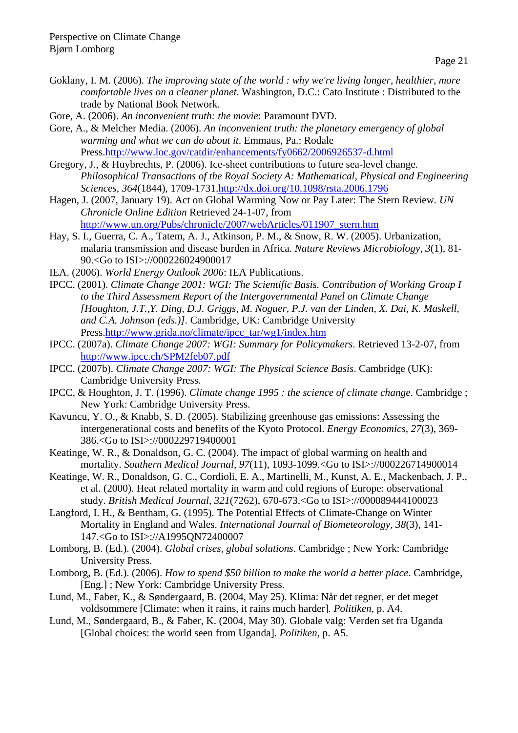- Goklany, I. M. (2006). *The improving state of the world : why we're living longer, healthier, more comfortable lives on a cleaner planet*. Washington, D.C.: Cato Institute : Distributed to the trade by National Book Network.
- Gore, A. (2006). *An inconvenient truth: the movie*: Paramount DVD.
- Gore, A., & Melcher Media. (2006). *An inconvenient truth: the planetary emergency of global warming and what we can do about it*. Emmaus, Pa.: Rodale Press.http://www.loc.gov/catdir/enhancements/fy0662/2006926537-d.html
- Gregory, J., & Huybrechts, P. (2006). Ice-sheet contributions to future sea-level change. *Philosophical Transactions of the Royal Society A: Mathematical, Physical and Engineering Sciences, 364*(1844), 1709-1731.http://dx.doi.org/10.1098/rsta.2006.1796
- Hagen, J. (2007, January 19). Act on Global Warming Now or Pay Later: The Stern Review*. UN Chronicle Online Edition* Retrieved 24-1-07, from http://www.un.org/Pubs/chronicle/2007/webArticles/011907\_stern.htm
- Hay, S. I., Guerra, C. A., Tatem, A. J., Atkinson, P. M., & Snow, R. W. (2005). Urbanization, malaria transmission and disease burden in Africa. *Nature Reviews Microbiology, 3*(1), 81- 90.<Go to ISI>://000226024900017
- IEA. (2006). *World Energy Outlook 2006*: IEA Publications.
- IPCC. (2001). *Climate Change 2001: WGI: The Scientific Basis. Contribution of Working Group I to the Third Assessment Report of the Intergovernmental Panel on Climate Change [Houghton, J.T.,Y. Ding, D.J. Griggs, M. Noguer, P.J. van der Linden, X. Dai, K. Maskell, and C.A. Johnson (eds.)].* Cambridge, UK: Cambridge University Press.http://www.grida.no/climate/ipcc\_tar/wg1/index.htm
- IPCC. (2007a). *Climate Change 2007: WGI: Summary for Policymakers*. Retrieved 13-2-07, from http://www.ipcc.ch/SPM2feb07.pdf
- IPCC. (2007b). *Climate Change 2007: WGI: The Physical Science Basis*. Cambridge (UK): Cambridge University Press.
- IPCC, & Houghton, J. T. (1996). *Climate change 1995 : the science of climate change*. Cambridge ; New York: Cambridge University Press.
- Kavuncu, Y. O., & Knabb, S. D. (2005). Stabilizing greenhouse gas emissions: Assessing the intergenerational costs and benefits of the Kyoto Protocol. *Energy Economics, 27*(3), 369- 386.<Go to ISI>://000229719400001
- Keatinge, W. R., & Donaldson, G. C. (2004). The impact of global warming on health and mortality. *Southern Medical Journal, 97*(11), 1093-1099.<Go to ISI>://000226714900014
- Keatinge, W. R., Donaldson, G. C., Cordioli, E. A., Martinelli, M., Kunst, A. E., Mackenbach, J. P., et al. (2000). Heat related mortality in warm and cold regions of Europe: observational study. *British Medical Journal, 321*(7262), 670-673.<Go to ISI>://000089444100023
- Langford, I. H., & Bentham, G. (1995). The Potential Effects of Climate-Change on Winter Mortality in England and Wales. *International Journal of Biometeorology, 38*(3), 141- 147.<Go to ISI>://A1995QN72400007
- Lomborg, B. (Ed.). (2004). *Global crises, global solutions*. Cambridge ; New York: Cambridge University Press.
- Lomborg, B. (Ed.). (2006). *How to spend \$50 billion to make the world a better place*. Cambridge, [Eng.] ; New York: Cambridge University Press.
- Lund, M., Faber, K., & Søndergaard, B. (2004, May 25). Klima: Når det regner, er det meget voldsommere [Climate: when it rains, it rains much harder]*. Politiken,* p. A4.
- Lund, M., Søndergaard, B., & Faber, K. (2004, May 30). Globale valg: Verden set fra Uganda [Global choices: the world seen from Uganda]*. Politiken,* p. A5.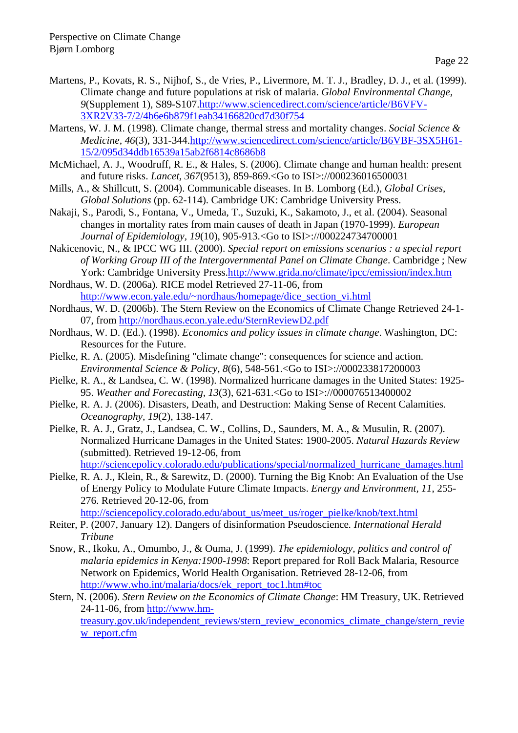- Martens, P., Kovats, R. S., Nijhof, S., de Vries, P., Livermore, M. T. J., Bradley, D. J., et al. (1999). Climate change and future populations at risk of malaria. *Global Environmental Change, 9*(Supplement 1), S89-S107.http://www.sciencedirect.com/science/article/B6VFV-3XR2V33-7/2/4b6e6b879f1eab34166820cd7d30f754
- Martens, W. J. M. (1998). Climate change, thermal stress and mortality changes. *Social Science & Medicine, 46*(3), 331-344.http://www.sciencedirect.com/science/article/B6VBF-3SX5H61- 15/2/095d34ddb16539a15ab2f6814c8686b8
- McMichael, A. J., Woodruff, R. E., & Hales, S. (2006). Climate change and human health: present and future risks. *Lancet, 367*(9513), 859-869.<Go to ISI>://000236016500031
- Mills, A., & Shillcutt, S. (2004). Communicable diseases. In B. Lomborg (Ed.), *Global Crises, Global Solutions* (pp. 62-114). Cambridge UK: Cambridge University Press.
- Nakaji, S., Parodi, S., Fontana, V., Umeda, T., Suzuki, K., Sakamoto, J., et al. (2004). Seasonal changes in mortality rates from main causes of death in Japan (1970-1999). *European Journal of Epidemiology, 19*(10), 905-913.<Go to ISI>://000224734700001
- Nakicenovic, N., & IPCC WG III. (2000). *Special report on emissions scenarios : a special report of Working Group III of the Intergovernmental Panel on Climate Change*. Cambridge ; New York: Cambridge University Press.http://www.grida.no/climate/ipcc/emission/index.htm
- Nordhaus, W. D. (2006a). RICE model Retrieved 27-11-06, from http://www.econ.yale.edu/~nordhaus/homepage/dice\_section\_vi.html
- Nordhaus, W. D. (2006b). The Stern Review on the Economics of Climate Change Retrieved 24-1- 07, from http://nordhaus.econ.yale.edu/SternReviewD2.pdf
- Nordhaus, W. D. (Ed.). (1998). *Economics and policy issues in climate change*. Washington, DC: Resources for the Future.
- Pielke, R. A. (2005). Misdefining "climate change": consequences for science and action. *Environmental Science & Policy, 8*(6), 548-561.<Go to ISI>://000233817200003
- Pielke, R. A., & Landsea, C. W. (1998). Normalized hurricane damages in the United States: 1925- 95. *Weather and Forecasting, 13*(3), 621-631.<Go to ISI>://000076513400002
- Pielke, R. A. J. (2006). Disasters, Death, and Destruction: Making Sense of Recent Calamities. *Oceanography, 19*(2), 138-147.
- Pielke, R. A. J., Gratz, J., Landsea, C. W., Collins, D., Saunders, M. A., & Musulin, R. (2007). Normalized Hurricane Damages in the United States: 1900-2005. *Natural Hazards Review*  (submitted). Retrieved 19-12-06, from http://sciencepolicy.colorado.edu/publications/special/normalized\_hurricane\_damages.html
- Pielke, R. A. J., Klein, R., & Sarewitz, D. (2000). Turning the Big Knob: An Evaluation of the Use of Energy Policy to Modulate Future Climate Impacts. *Energy and Environment, 11*, 255- 276. Retrieved 20-12-06, from http://sciencepolicy.colorado.edu/about\_us/meet\_us/roger\_pielke/knob/text.html
- Reiter, P. (2007, January 12). Dangers of disinformation Pseudoscience*. International Herald Tribune*
- Snow, R., Ikoku, A., Omumbo, J., & Ouma, J. (1999). *The epidemiology, politics and control of malaria epidemics in Kenya:1900-1998*: Report prepared for Roll Back Malaria, Resource Network on Epidemics, World Health Organisation. Retrieved 28-12-06, from http://www.who.int/malaria/docs/ek\_report\_toc1.htm#toc
- Stern, N. (2006). *Stern Review on the Economics of Climate Change*: HM Treasury, UK. Retrieved 24-11-06, from http://www.hm-

treasury.gov.uk/independent\_reviews/stern\_review\_economics\_climate\_change/stern\_revie w\_report.cfm